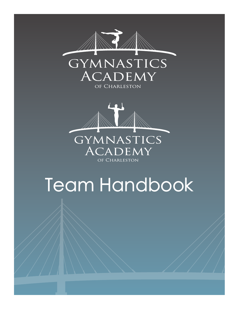



# Team Handbook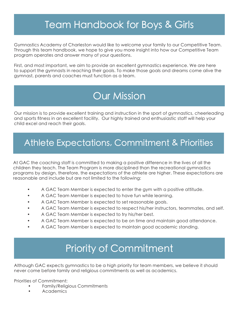# Team Handbook for Boys & Girls

Gymnastics Academy of Charleston would like to welcome your family to our Competitive Team. Through this team handbook, we hope to give you more insight into how our Competitive Team program operates and answer many of your questions.

First, and most important, we aim to provide an excellent gymnastics experience. We are here to support the gymnasts in reaching their goals. To make those goals and dreams come alive the gymnast, parents and coaches must function as a team.

# Our Mission

Our mission is to provide excellent training and instruction in the sport of gymnastics, cheerleading and sports fitness in an excellent facility. Our highly trained and enthusiastic staff will help your child excel and reach their goals.

### Athlete Expectations, Commitment & Priorities

At GAC the coaching staff is committed to making a positive difference in the lives of all the children they teach. The Team Program is more disciplined than the recreational gymnastics programs by design, therefore, the expectations of the athlete are higher. These expectations are reasonable and include but are not limited to the following:

- A GAC Team Member is expected to enter the gym with a positive attitude.
- A GAC Team Member is expected to have fun while learning.
- A GAC Team Member is expected to set reasonable goals.
- A GAC Team Member is expected to respect his/her instructors, teammates, and self.
- A GAC Team Member is expected to try his/her best.
- A GAC Team Member is expected to be on time and maintain good attendance.
- A GAC Team Member is expected to maintain good academic standing.

# Priority of Commitment

Although GAC expects gymnastics to be a high priority for team members, we believe it should never come before family and religious commitments as well as academics.

Priorities of Commitment:

- Family/Religious Commitments
- Academics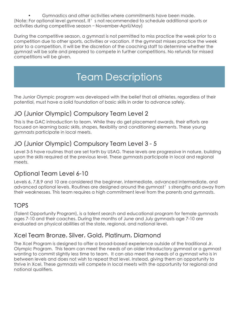• Gymnastics and other activities where commitments have been made. (Note: For optional level gymnast, It's not recommended to schedule additional sports or activities during competitive season – November-April/May)

During the competitive season, a gymnast is not permitted to miss practice the week prior to a competition due to other sports, activities or vacation. If the gymnast misses practice the week prior to a competition, it will be the discretion of the coaching staff to determine whether the gymnast will be safe and prepared to compete in further competitions. No refunds for missed competitions will be given.

# Team Descriptions

The Junior Olympic program was developed with the belief that all athletes, regardless of their potential, must have a solid foundation of basic skills in order to advance safely.

#### JO (Junior Olympic) Compulsory Team Level 2

This is the GAC introduction to team. While they do get placement awards, their efforts are focused on learning basic skills, shapes, flexibility and conditioning elements. These young gymnasts participate in local meets.

#### JO (Junior Olympic) Compulsory Team Level 3 - 5

Level 3-5 have routines that are set forth by USAG. These levels are progressive in nature, building upon the skills required at the previous level. These gymnasts participate in local and regional meets.

#### Optional Team Level 6-10

Levels 6, 7,8,9 and 10 are considered the beginner, intermediate, advanced intermediate, and advanced optional levels. Routines are designed around the gymnast's strengths and away from their weaknesses. This team requires a high commitment level from the parents and gymnasts.

#### TOPS

(Talent Opportunity Program), is a talent search and educational program for female gymnasts ages 7-10 and their coaches. During the months of June and July gymnasts age 7-10 are evaluated on physical abilities at the state, regional, and national level.

#### Xcel Team Bronze, Silver, Gold, Platinum, Diamond

The Xcel Program is designed to offer a broad-based experience outside of the traditional Jr. Olympic Program. This team can meet the needs of an older introductory gymnast or a gymnast wanting to commit slightly less time to team. It can also meet the needs of a gymnast who is in between levels and does not wish to repeat that level. Instead, giving them an opportunity to thrive in Xcel. These gymnasts will compete in local meets with the opportunity for regional and national qualifiers.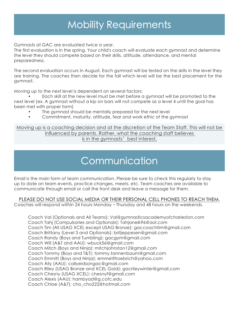# Mobility Requirements

Gymnasts at GAC are evaluated twice a year.

The first evaluation is in the spring. Your child's coach will evaluate each gymnast and determine the level they should compete based on their skills, attitude, attendance, and mental preparedness.

The second evaluation occurs in August. Each gymnast will be tested on the skills in the level they are training. The coaches then decide for the fall which level will be the best placement for the gymnast.

Moving up to the next level is dependent on several factors:

• Each skill at the new level must be met before a gymnast will be promoted to the next level (ex. A gymnast without a kip on bars will not compete as a level 4 until the goal has been met with proper form)

- The gymnast should be mentally prepared for the next level
- Commitment, maturity, attitude, fear and work ethic of the gymnast

Moving up is a coaching decision and at the discretion of the Team Staff. This will not be influenced by parents. Rather, what the coaching staff believes is in the gymnasts' best interest.

# **Communication**

Email is the main form of team communication. Please be sure to check this regularly to stay up to date on team events, practice changes, meets, etc. Team coaches are available to communicate through email or call the front desk and leave a message for them.

#### PLEASE DO NOT USE SOCIAL MEDIA OR THEIR PERSONAL CELL PHONES TO REACH THEM.

Coaches will respond within 24 hours Monday – Thursday and 48 hours on the weekends.

Coach Val (Optionals and All Teams): Val@gymnasticsacademyofcharleston.com Coach Tahj (Compulsories and Optionals): Tahjaneik96@aol.com Coach Tim (All USAG XCEL except USAG Bronze): gaccoachtim@gmail.com Coach Brittany (Level 3 and Optionals): britjeppesen@gmail.com Coach Randy (Boys and Tumbling): gacgym@gmail.com Coach Will (A&T and AAU): wbuck56@gmail.com Coach Mitch (Boys and Ninja): mitchjohnston12@gmail.com Coach Tommy (Boys and T&T): tommy.tannenbaum@gmail.com Coach Emmitt (Boys and Ninja): emmettfroebrich@yahoo.com Coach Ally (AAU): callyeidsongac@gmail.com Coach Riley (USAG Bronze and XCEL Gold): gacrileywinter@gmail.com Coach Chesny (USAG XCEL): chesnyf@gmail.com Coach Alexis (AAU): hambyad@g.cofc.edu Coach Chloe (A&T): cho\_cho222@hotmail.com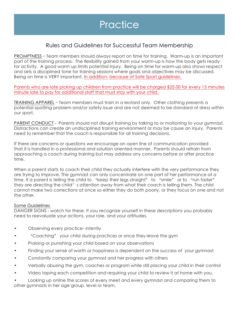#### Rules and Guidelines for Successful Team Membership

PROMPTNESS – Team members should always report on time for training. Warm-up is an important part of the training process. The flexibility gained from your warm-up is how the body gets ready for activity. A good warm up limits potential injury. Being on time for warm-up also shows respect and sets a disciplined tone for training sessions where goals and objectives may be discussed. Being on time is VERY important. In addition, because of Safe Sport guidelines,

Parents who are late picking up children from practice will be charged \$25.00 for every 15 minutes minute late to pay for additional staff that must stay with your child.

TRAINING APPAREL – Team members must train in a leotard only. Other clothing presents a potential spotting problem and/or safety issue and are not deemed to be standard of dress within our sport.

PARENT CONDUCT - Parents should not disrupt training by talking to or motioning to your gymnast. Distractions can create an undisciplined training environment or may be cause an injury. Parents need to remember that the coach is responsible for all training decisions.

If there are concerns or questions we encourage an open line of communication provided that it is handled in a professional and solution oriented manner. Parents should refrain from approaching a coach during training but may address any concerns before or after practice time.

When a parent starts to coach their child they actually interfere with the very performance they are trying to improve. The gymnast can only concentrate on one part of her performance at a time. If a parent is telling the child to "keep their legs straight" to "smile" or to "run faster" they are directing the child's attention away from what their coach is telling them. The child cannot make two corrections at once so either they do both poorly, or they focus on one and not the other.

#### Some Guidelines

DANGER SIGNS - watch for these. If you recognize yourself in these descriptions you probably need to reevaluate your actions, your role, and your attitudes.

- Observing every practice- intently
- "Coaching" your child during practices or once they leave the gym
- Praising or punishing your child based on your observations
- Finding your sense of worth or happiness is dependent on the success of your gymnast
- Constantly comparing your gymnast and her progress with others
- Verbally abusing the gym, coaches or program while still placing your child in their control
- Video taping each competition and requiring your child to review it at home with you.

• Looking up online the scores of every meet and every gymnast and comparing them to other gymnasts in her age group, level or team.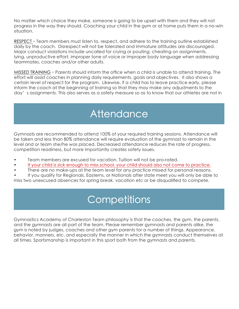No matter which choice they make, someone is going to be upset with them and they will not progress in the way they should. Coaching your child in the gym or at home puts them in a no-win situation.

RESPECT – Team members must listen to, respect, and adhere to the training outline established daily by the coach. Disrespect will not be tolerated and immature attitudes are discouraged. Major conduct violations include uncalled for crying or pouting, cheating on assignments, lying, unproductive effort, improper tone of voice or improper body language when addressing teammates, coaches and/or other adults.

MISSED TRAINING – Parents should inform the office when a child is unable to attend training. The effort will assist coaches in planning daily requirements, goals and objectives. It also shows a certain level of respect for the program. Likewise, if a child has to leave practice early, please inform the coach at the beginning of training so that they may make any adjustments to the day's assignments. This also serves as a safety measure so as to know that our athletes are not in

# **Attendance**

Gymnasts are recommended to attend 100% of your required training sessions. Attendance will be taken and less than 80% attendance will require evaluation of the gymnast to remain in the level and or team she/he was placed. Decreased attendance reduces the rate of progress, competition readiness, but more importantly creates safety issues.

- Team members are excused for vacation. Tuition will not be pro-rated.
- If your child is sick enough to miss school, your child should also not come to practice.
- There are no make-ups at the team level for any practice missed for personal reasons.

• If you qualify for Regionals, Easterns, or Nationals after state meet you will only be able to miss two unexcused absences for spring break, vacation etc or be disqualified to compete.

# **Competitions**

Gymnastics Academy of Charleston Team philosophy is that the coaches, the gym, the parents, and the gymnasts are all part of the team. Please remember gymnasts and parents alike, the gym is noted by judges, coaches and other gym parents for a number of things. Appearance, behavior, manners, etc. and especially the manner in which the gymnasts conduct themselves at all times. Sportsmanship is important in this sport both from the gymnasts and parents.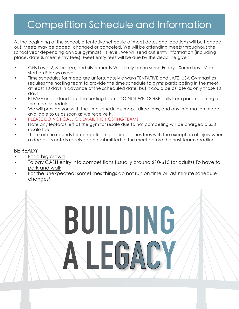# Competition Schedule and Information

At the beginning of the school, a tentative schedule of meet dates and locations will be handed out. Meets may be added, changed or canceled. We will be attending meets throughout the school year depending on your gymnast's level. We will send out entry information (including place, date & meet entry fees). Meet entry fees will be due by the deadline given.

- Girls Level 2, 3, bronze, and silver meets WILL likely be on some Fridays. Some boys Meets start on Fridays as well.
- Time schedules for meets are unfortunately always TENTATIVE and LATE. USA Gymnastics requires the hosting team to provide the time schedule to gyms participating in the meet at least 10 days in advance of the scheduled date, but it could be as late as only those 10 days.
- PLEASE understand that the hosting teams DO NOT WELCOME calls from parents asking for the meet schedule.
- We will provide you with the time schedules, maps, directions, and any information made available to us as soon as we receive it.
- PLEASE DO NOT CALL OR EMAIL THE HOSTING TEAM!
- Note any leotards left at the gym for resale due to not competing will be charged a \$50 resale fee.
- There are no refunds for competition fees or coaches fees with the exception of injury when a doctor's note is received and submitted to the meet before the host team deadline.

#### BE READY

- For a big crowd
- To pay CASH entry into competitions (usually around \$10-\$15 for adults) To have to park and walk
- For the unexpected; sometimes things do not run on time or last minute schedule changes!

BUILDING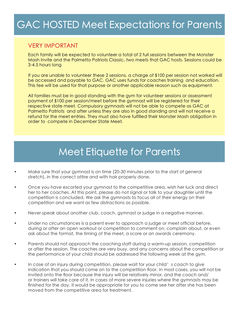# GAC HOSTED Meet Expectations for Parents

#### VERY IMPORTANT

Each family will be expected to volunteer a total of 2 full sessions between the Monster Mash Invite and the Palmetto Patriots Classic, two meets that GAC hosts. Sessions could be 3-4.5 hours long

If you are unable to volunteer these 2 sessions, a charge of \$100 per session not worked will be accessed and payable to GAC. GAC uses funds for coaches training and education. This fee will be used for that purpose or another applicable reason such as equipment.

All families must be in good standing with the gym for volunteer sessions or assessment payment of \$100 per session/meet before the gymnast will be registered for their respective state meet. Compulsory gymnasts will not be able to compete as GAC at Palmetto Patriots and after unless they are also in good standing and will not receive a refund for the meet entries. They must also have fulfilled their Monster Mash obligation in order to compete in December State Meet.

## Meet Etiquette for Parents

- Make sure that your gymnast is on time (20-30 minutes prior to the start of general stretch), in the correct attire and with hair properly done.
- Once you have escorted your gymnast to the competitive area, wish her luck and direct her to her coaches. At this point, please do not signal or talk to your daughter until the competition is concluded. We ask the gymnasts to focus all of their energy on their competition and we want as few distractions as possible.
- Never speak about another club, coach, gymnast or judge in a negative manner.
- Under no circumstances is a parent ever to approach a judge or meet official before, during or after an open workout or competition to comment on, complain about, or even ask about the format, the timing of the meet, a score or an awards ceremony.
- Parents should not approach the coaching staff during a warm-up session, competition or after the session. The coaches are very busy, and any concerns about the competition or the performance of your child should be addressed the following week at the gym.
- In case of an injury during competition, please wait for your child's coach to give indication that you should come on to the competition floor. In most cases, you will not be invited onto the floor because the injury will be relatively minor, and the coach and/ or trainers will take care of it. In cases of more severe injuries where the gymnasts may be finished for the day, it would be appropriate for you to come see her after she has been moved from the competitive area for treatment.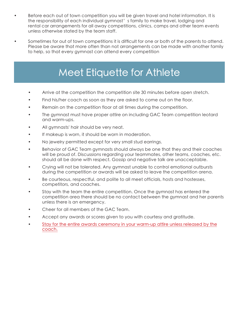- Before each out of town competition you will be given travel and hotel information. It is the responsibility of each individual gymnast' s family to make travel, lodging and rental car arrangements for all away competitions, clinics, camps and other team events unless otherwise stated by the team staff.
- Sometimes for out of town competitions it is difficult for one or both of the parents to attend. Please be aware that more often than not arrangements can be made with another family to help, so that every gymnast can attend every competition

# Meet Etiquette for Athlete

- Arrive at the competition the competition site 30 minutes before open stretch.
- Find his/her coach as soon as they are asked to come out on the floor.
- Remain on the competition floor at all times during the competition.
- The gymnast must have proper attire on including GAC Team competition leotard and warm-ups.
- All gymnasts' hair should be very neat.
- If makeup is worn, it should be worn in moderation.
- No jewelry permitted except for very small stud earrings.
- Behavior of GAC Team gymnasts should always be one that they and their coaches will be proud of. Discussions regarding your teammates, other teams, coaches, etc. should all be done with respect. Gossip and negative talk are unacceptable.
- Crying will not be tolerated. Any gymnast unable to control emotional outbursts during the competition or awards will be asked to leave the competition arena.
- Be courteous, respectful, and polite to all meet officials, hosts and hostesses, competitors, and coaches.
- Stay with the team the entire competition. Once the gymnast has entered the competition area there should be no contact between the gymnast and her parents unless there is an emergency.
- Cheer for all members of the GAC Team.
- Accept any awards or scores given to you with courtesy and gratitude.
- Stay for the entire awards ceremony in your warm-up attire unless released by the coach.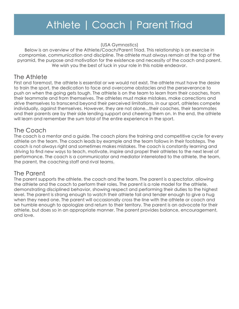# Athlete | Coach | Parent Triad

(USA Gymnastics)

Below is an overview of the Athlete/Coach/Parent Triad. This relationship is an exercise in compromise, communication and discipline. The athlete must always remain at the top of the pyramid, the purpose and motivation for the existence and necessity of the coach and parent. We wish you the best of luck in your role in this noble endeavor.

#### The Athlete

First and foremost, the athlete is essential or we would not exist. The athlete must have the desire to train the sport, the dedication to face and overcome obstacles and the perseverance to push on when the going gets tough. The athlete is on the team to learn from their coaches, from their teammate and from themselves. The athletes must make mistakes, make corrections and drive themselves to transcend beyond their perceived limitations. In our sport, athletes compete individually, against themselves. However, they are not alone...their coaches, their teammates and their parents are by their side lending support and cheering them on. In the end, the athlete will learn and remember the sum total of the entire experience in the sport.

#### The Coach

The coach is a mentor and a guide. The coach plans the training and competitive cycle for every athlete on the team. The coach leads by example and the team follows in their footsteps. The coach is not always right and sometimes makes mistakes. The coach is constantly learning and striving to find new ways to teach, motivate, inspire and propel their athletes to the next level of performance. The coach is a communicator and mediator interrelated to the athlete, the team, the parent, the coaching staff and rival teams.

#### The Parent

The parent supports the athlete, the coach and the team. The parent is a spectator, allowing the athlete and the coach to perform their roles. The parent is a role model for the athlete, demonstrating disciplined behavior, showing respect and performing their duties to the highest level. The parent is strong enough to watch their athlete fail and tender enough to give a hug when they need one. The parent will occasionally cross the line with the athlete or coach and be humble enough to apologize and return to their territory. The parent is an advocate for their athlete, but does so in an appropriate manner. The parent provides balance, encouragement, and love.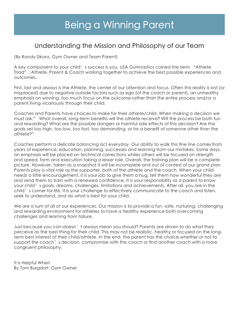#### Understanding the Mission and Philosophy of our Team

(By Randy Sikora, Gym Owner and Team Parent)

A key component to your child's success is you. USA Gymnastics coined the term "Athlete" Triad"; Athlete, Parent & Coach working together to achieve the best possible experiences and outcomes.

First, last and always is the Athlete, the center of our attention and focus. Often this reality is lost (or misplaced) due to negative outside factors such as ego (of the coach or parent), an unhealthy emphasis on winning, too much focus on the outcome rather than the entire process and/or a parent living vicariously through their child.

Coaches and Parents have choices to make for their athlete/child. When making a decision we must ask;" What overall, long-term benefits will the athlete receive? Will the process be both fun and rewarding? What are the possible dangers or harmful side effects of this decision? Are the goals set too high, too low, too fast, too demanding, or for a benefit of someone other than the athlete?"

Coaches perform a delicate balancing act everyday. Our ability to walk this fine line comes from years of experience, education, planning, successes and learning from our mistakes. Some days, an emphasis will be placed on technical corrections whiles others will be focused on strength and speed, form and execution taking a lesser role. Overall, the training plan will be a complete picture. However, taken as a snapshot it will be incomplete and out of contest of our grand plan. Parents play a vital role as the supporter, both of the athlete and the coach. When your child needs a little encouragement, it is your job to give them a hug, tell them how wonderful they are and send them to train with a renewed confidence. It is your responsibility as a parent to know your child's goals, dreams, challenges, limitations and achievements. After all, you are in the child's corner for life. It is your challenge to effectively communicate to the coach and listen, seek to understand, and do what is best for your child.

We are a sum of all of our experiences. Our mission is to provide a fun, safe, nurturing, challenging and rewarding environment for athletes to have a healthy experience both overcoming challenges and learning from failure.

Just because you can-doesn't always mean you should? Parents are driven to do what they perceive as the best thing for their child. This may not be realistic, healthy or focused on the longterm best interest of their child/athlete. In the end, the parent has the choice whether or not to support the coach's decision, compromise with the coach or find another coach with a more congruent philosophy.

It is Helpful When By Tom Burgdorf, Gym Owner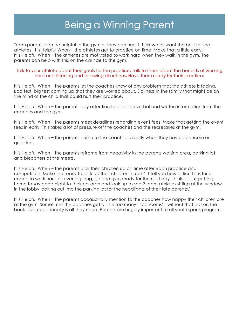# Being a Winning Parent

Team parents can be helpful to the gym or they can hurt. I think we all want the best for the athletes. It is Helpful When – the athletes get to practice on time. Make that a little early. It is Helpful When – the athletes are motivated to work hard when they walk in the gym. The parents can help with this on the car ride to the gym.

#### Talk to your athlete about their goals for the practice. Talk to them about the benefits of working hard and listening and following directions. Have them ready for their practice.

It is Helpful When – the parents let the coaches know of any problem that the athlete is facing. Bad test, big test coming up that they are worried about. Sickness in the family that might be on the mind of the child that could hurt their practice.

It is Helpful When – the parents pay attention to all of the verbal and written information from the coaches and the gym.

It is Helpful When – the parents meet deadlines regarding event fees. Make that getting the event fees in early. This takes a lot of pressure off the coaches and the secretaries at the gym.

It is Helpful When – the parents come to the coaches directly when they have a concern or question.

It is Helpful When – the parents reframe from negativity in the parents waiting area, parking lot and bleachers at the meets.

It is Helpful When – the parents pick their children up on time after each practice and competition. Make that early to pick up their children. (I can't tell you how difficult it is for a coach to work hard all evening long, get the gym ready for the next day, think about getting home to say good night to their children and look up to see 2 team athletes sitting at the window in the lobby looking out into the parking lot for the headlights of their late parents.)

It is Helpful When – the parents occasionally mention to the coaches how happy their children are at the gym. Sometimes the coaches get a little too many "concerns" without that pat on the back. Just occasionally is all they need. Parents are hugely important to all youth sports programs.